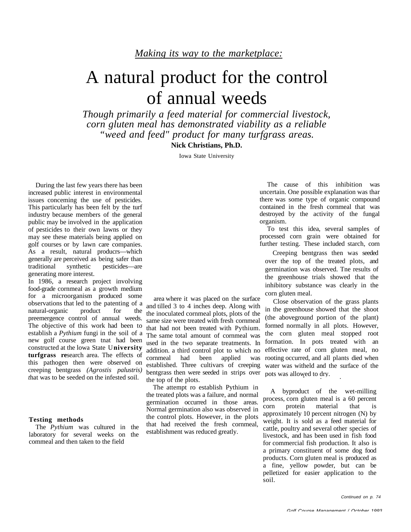# A natural product for the control of annual weeds

*Though primarily a feed material for commercial livestock, corn gluten meal has demonstrated viability as a reliable "weed and feed" product for many turfgrass areas.*

**Nick Christians, Ph.D.**

Iowa State University

During the last few years there has been increased public interest in environmental issues conceming the use of pesticides. This particularly has been felt by the turf industry because members of the general public may be involved in the application of pesticides to their own lawns or they may see these materials being applied on golf courses or by lawn care companies. As a result, natural producrs—which generally are perceived as being safer than traditional synthetic pesticides—are generating more interest.

In 1986, a research project involving food-grade cornmeal as a growth medium for a microorganism produced some observations that led to the patenting of a<br>natural-organic product for the natural-organic product for preemergence control of annual weeds. The objective of this work had been to establish a *Pythium* fungi in the soil of a new golf course green tnat had been constructed at the lowa State U**niversity turfgrass re**search area. The effects of this pathogen then were observed on creeping bentgrass *(Agrostis palustris) t*hat was to be seeded on the infested soil.

#### **Testing methods**

The *Pythium* was cultured in the laboratory for several weeks on the commeal and then taken to the field

area where it was placed on the surface and tilled 3 to 4 inches deep. Along with the inoculated cornmeal plots, plots of the same size were treated with fresh cornmeal that had not been treated with Pythium. The same total amount of cornmeal was used in the two separate treatments. In addition. a third control plot to which no cornmeal had been applied was established. Three cultivars of creeping bentgrass then were seeded in strips over the top of the plots.

The attempt ro establish Pythium in the treated plots was a failure, and normal germination occurred in those areas. Normal germination also was observed in the control plots. However, in the plots that had received the fresh cornmeal, establishment was reduced greatly.

The cause of this inhibition was uncertain. One possible explanation was thar there was some type of organic compound contained in the fresh cornmeal that was destroyed by the activity of the fungal organism.

To test this idea, several samples of processed corn grain were obtained for further testing. These included starch, corn

 Creeping bentgrass then was seeded over the top of the treated plots, and germination was observed. Tne results of the greenhouse trials showed that the inhibitory substance was clearly in the corn gluten meal.

 Close observation of the grass plants in the greenhouse showed that the shoot (the aboveground portion of the plant) formed normally in all plots. However, the corn gluten meal stopped root formation. In pots treated with an effective rate of corn gluten meal, no rooting occurred, and all plants died when water was witheld and the surface of the pots was allowed to dry.

A byproduct of the wet-milling process, corn gluten meal is a 60 percent corn protein material that is approximately 10 percent nitrogen (N) by weight. It is sold as a feed material for cattle, poultry and several other species of livestock, and has been used in fish food for commercial fish production. It also is a primary constituent of some dog food products. Corn gluten meal is produced as a fine, yellow powder, but can be pelletized for easier application to the soil.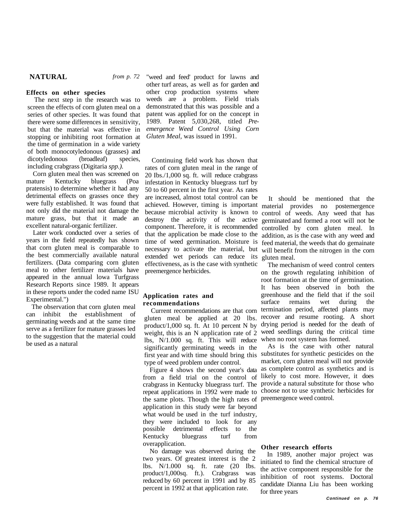## **NATURAL** *from p. 72*

### **Effects on other species**

The next step in the research was to screen the effects of corn gluten meal on a series of other species. It was found that there were some differences in sensitivity, but that the material was effective in stopping or inhibiting root formation at the time of germination in a wide variety of both monocotyledonous (grasses) and dicotyledonous (broadleaf) species, including crabgrass (Digitaria *spp.).*

Corn gluten meal then was screened on mature Kentucky bluegrass (Poa pratensis) to determine whether it had any detrimental effects on grasses once they were fully established. It was found that not only did the material not damage the mature grass, but that it made an excellent natural-organic fertilizer.

Later work conducted over a series of years in the field repeatedly has shown that corn gluten meal is comparable to the best commercially available natural fertilizers. (Data comparing corn gluten meal to other fertilizer materials have appeared in the annual lowa Turfgrass Research Reports since 1989. It appears in these reports under the coded name ISU Experimental.")

 The observation that corn gluten meal can inhibit the establishment of germinating weeds and at the same time serve as a fertilizer for mature grasses led to the suggestion that the material could be used as a natural

"weed and feed' product for lawns and other turf areas, as well as for garden and other crop production systems where weeds are a problem. Field trials demonstrated that this was possible and a patent was applied for on the concept in 1989. Patent 5,030,268, titled *Preemergence Weed Control Using Corn Gluten Meal,* was issued in 1991.

Continuing field work has shown that rates of corn gluten meal in the range of 20 Ibs./1,000 sq. ft. will reduce crabgrass infestation in Kentucky bluegrass turf by 50 to 60 percent in the first year. As rates are increased, almost total control can be achieved. However, timing is important because microbial activity is known to destroy the activity of the active component. Therefore, it is recommended that the application be made close to the time of weed germination. Moisture is necessary to activate the material, but will benefit from the nitrogen in the corn extended wet periods can reduce its effectiveness, as is the case with synthetic preemergence herbicides.

#### **Application rates and recommendations**

gluten meal be applied at 20 lbs. product/1,000 sq. ft. At 10 percent N by weight, this is an N application rate of 2 lbs, N/1.000 sq. ft. This will reduce significantly germinating weeds in the first year and with time should bring this type of weed problem under control.

Figure 4 shows the second year's data from a field trial on the control of crabgrass in Kentucky bluegrass turf. The provide a natural substitute for those who repeat applications in 1992 were made to the same plots. Though the high rates of preemergence weed control. application in this study were far beyond what would be used in the turf industry, they were included to look for any possible detrimental effects to the Kentucky bluegrass turf from overapplication.

No damage was observed during the two years. Of greatest interest is the 2 lbs. N/1.000 sq. ft. rate (20 Ibs. product/1,000sq. ft.). Crabgrass was reduced by 60 percent in 1991 and by 85 percent in 1992 at that application rate.

It should be mentioned that the material provides no postemergence control of weeds. Any weed that has germinated and formed a root will not be controlled by corn gluten meal. In addition, as is the case with any weed and feed material, the weeds that do gemainate gluten meal.

Current recommendations are that corn termination period, affected plants may The mechanism of weed control centers on the growth regulating inhibition of root formation at the time of germination. It has been observed in both the greenhouse and the field that if the soil surface remains wet during the recover and resume rooting. A short drying period is needed for the death of weed seedlings during the critical time when no root system has formed.

> As is the case with other natural substitutes for synthetic pesticides on the market, corn gluten meal will not provide as complete control as synthetics and is likely to cost more. However, it does choose not to use synthetic herbicides for

#### **Other research efforts**

In 1989, another major project was initiated to find the chemical structure of the active component responsible for the inhibition of root systems. Doctoral candidate Dianna Liu has been working for three years